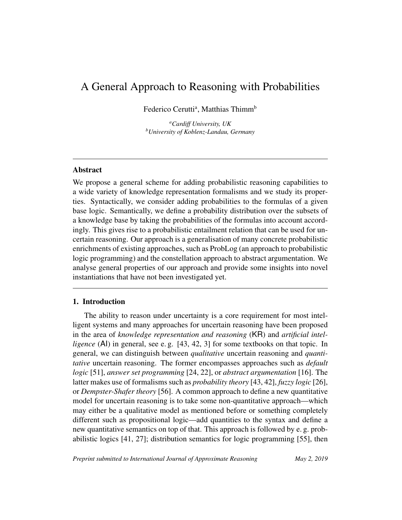# A General Approach to Reasoning with Probabilities

Federico Cerutti<sup>a</sup>, Matthias Thimm<sup>b</sup>

*<sup>a</sup>Cardiff University, UK <sup>b</sup>University of Koblenz-Landau, Germany*

## Abstract

We propose a general scheme for adding probabilistic reasoning capabilities to a wide variety of knowledge representation formalisms and we study its properties. Syntactically, we consider adding probabilities to the formulas of a given base logic. Semantically, we define a probability distribution over the subsets of a knowledge base by taking the probabilities of the formulas into account accordingly. This gives rise to a probabilistic entailment relation that can be used for uncertain reasoning. Our approach is a generalisation of many concrete probabilistic enrichments of existing approaches, such as ProbLog (an approach to probabilistic logic programming) and the constellation approach to abstract argumentation. We analyse general properties of our approach and provide some insights into novel instantiations that have not been investigated yet.

## 1. Introduction

The ability to reason under uncertainty is a core requirement for most intelligent systems and many approaches for uncertain reasoning have been proposed in the area of *knowledge representation and reasoning* (KR) and *artificial intelligence* (Al) in general, see e.g. [43, 42, 3] for some textbooks on that topic. In general, we can distinguish between *qualitative* uncertain reasoning and *quantitative* uncertain reasoning. The former encompasses approaches such as *default logic* [51], *answer set programming* [24, 22], or *abstract argumentation* [16]. The latter makes use of formalisms such as *probability theory* [43, 42], *fuzzy logic* [26], or *Dempster-Shafer theory* [56]. A common approach to define a new quantitative model for uncertain reasoning is to take some non-quantitative approach—which may either be a qualitative model as mentioned before or something completely different such as propositional logic—add quantities to the syntax and define a new quantitative semantics on top of that. This approach is followed by e. g. probabilistic logics [41, 27]; distribution semantics for logic programming [55], then

*Preprint submitted to International Journal of Approximate Reasoning May 2, 2019*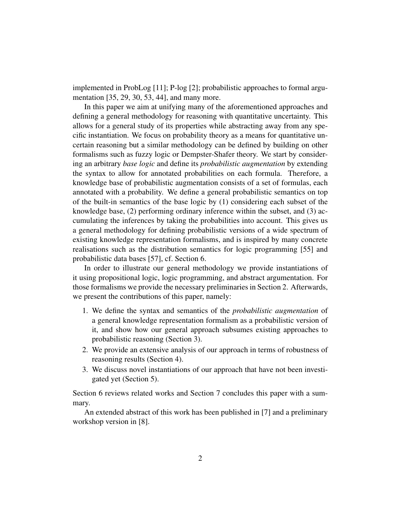implemented in ProbLog [11]; P-log [2]; probabilistic approaches to formal argumentation [35, 29, 30, 53, 44], and many more.

In this paper we aim at unifying many of the aforementioned approaches and defining a general methodology for reasoning with quantitative uncertainty. This allows for a general study of its properties while abstracting away from any specific instantiation. We focus on probability theory as a means for quantitative uncertain reasoning but a similar methodology can be defined by building on other formalisms such as fuzzy logic or Dempster-Shafer theory. We start by considering an arbitrary *base logic* and define its *probabilistic augmentation* by extending the syntax to allow for annotated probabilities on each formula. Therefore, a knowledge base of probabilistic augmentation consists of a set of formulas, each annotated with a probability. We define a general probabilistic semantics on top of the built-in semantics of the base logic by (1) considering each subset of the knowledge base, (2) performing ordinary inference within the subset, and (3) accumulating the inferences by taking the probabilities into account. This gives us a general methodology for defining probabilistic versions of a wide spectrum of existing knowledge representation formalisms, and is inspired by many concrete realisations such as the distribution semantics for logic programming [55] and probabilistic data bases [57], cf. Section 6.

In order to illustrate our general methodology we provide instantiations of it using propositional logic, logic programming, and abstract argumentation. For those formalisms we provide the necessary preliminaries in Section 2. Afterwards, we present the contributions of this paper, namely:

- 1. We define the syntax and semantics of the *probabilistic augmentation* of a general knowledge representation formalism as a probabilistic version of it, and show how our general approach subsumes existing approaches to probabilistic reasoning (Section 3).
- 2. We provide an extensive analysis of our approach in terms of robustness of reasoning results (Section 4).
- 3. We discuss novel instantiations of our approach that have not been investigated yet (Section 5).

Section 6 reviews related works and Section 7 concludes this paper with a summary.

An extended abstract of this work has been published in [7] and a preliminary workshop version in [8].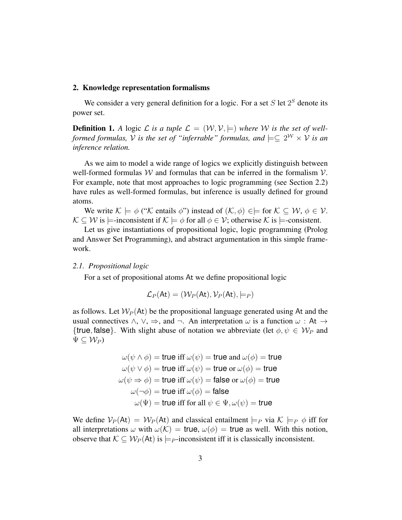#### 2. Knowledge representation formalisms

We consider a very general definition for a logic. For a set  $S$  let  $2^S$  denote its power set.

**Definition 1.** A logic L is a tuple  $\mathcal{L} = (\mathcal{W}, \mathcal{V}, \models)$  where W is the set of well*formed formulas,*  $V$  *is the set of "inferrable" formulas, and*  $\models \subseteq 2^{\mathcal{W}} \times V$  *is an inference relation.*

As we aim to model a wide range of logics we explicitly distinguish between well-formed formulas  $W$  and formulas that can be inferred in the formalism  $V$ . For example, note that most approaches to logic programming (see Section 2.2) have rules as well-formed formulas, but inference is usually defined for ground atoms.

We write  $\mathcal{K} \models \phi$  (" $\mathcal{K}$  entails  $\phi$ ") instead of  $(\mathcal{K}, \phi) \in \models$  for  $\mathcal{K} \subseteq \mathcal{W}, \phi \in \mathcal{V}$ .  $\mathcal{K} \subset \mathcal{W}$  is  $\models$ -inconsistent if  $\mathcal{K} \models \phi$  for all  $\phi \in \mathcal{V}$ ; otherwise  $\mathcal{K}$  is  $\models$ -consistent.

Let us give instantiations of propositional logic, logic programming (Prolog and Answer Set Programming), and abstract argumentation in this simple framework.

#### *2.1. Propositional logic*

For a set of propositional atoms At we define propositional logic

$$
\mathcal{L}_P(\mathsf{At}) = (\mathcal{W}_P(\mathsf{At}), \mathcal{V}_P(\mathsf{At}), \models_P)
$$

as follows. Let  $W_P$ (At) be the propositional language generated using At and the usual connectives  $\land$ ,  $\lor$ ,  $\Rightarrow$ , and  $\neg$ . An interpretation  $\omega$  is a function  $\omega$ : At  $\rightarrow$ {true, false}. With slight abuse of notation we abbreviate (let  $\phi, \psi \in \mathcal{W}_P$  and  $\Psi \subset \mathcal{W}_P$ 

$$
\omega(\psi \wedge \phi) = \text{true iff } \omega(\psi) = \text{true and } \omega(\phi) = \text{true}
$$

$$
\omega(\psi \vee \phi) = \text{true iff } \omega(\psi) = \text{true or } \omega(\phi) = \text{true}
$$

$$
\omega(\psi \Rightarrow \phi) = \text{true iff } \omega(\psi) = \text{false or } \omega(\phi) = \text{true}
$$

$$
\omega(\neg \phi) = \text{true iff } \omega(\phi) = \text{false}
$$

$$
\omega(\Psi) = \text{true iff } \text{for all } \psi \in \Psi, \omega(\psi) = \text{true}
$$

We define  $V_P(\mathsf{At}) = W_P(\mathsf{At})$  and classical entailment  $\models_P$  via  $\mathcal{K} \models_P \phi$  iff for all interpretations  $\omega$  with  $\omega(\mathcal{K}) = \text{true}$ ,  $\omega(\phi) = \text{true}$  as well. With this notion, observe that  $\mathcal{K} \subseteq \mathcal{W}_P(\mathsf{At})$  is  $\models P$ -inconsistent iff it is classically inconsistent.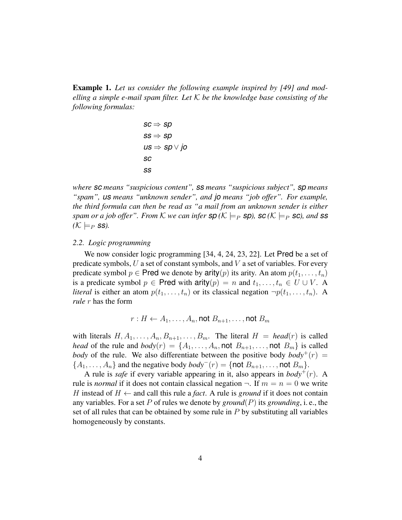Example 1. *Let us consider the following example inspired by [49] and modelling a simple e-mail spam filter. Let* K *be the knowledge base consisting of the following formulas:*

$$
\begin{aligned} sc &\Rightarrow sp \\ ss &\Rightarrow sp \\ us &\Rightarrow sp \lor jo \\ sc \\ ss \end{aligned}
$$

*where sc means "suspicious content", ss means "suspicious subject", sp means "spam", us means "unknown sender", and jo means "job offer". For example, the third formula can then be read as "a mail from an unknown sender is either spam or a job offer". From*  $K$  *we can infer*  $\mathsf{sp}(K \models_P \mathsf{sp})$ ,  $\mathsf{sc}(K \models_P \mathsf{sc})$ , and  $\mathsf{ss}$  $(K \models_P \textsf{ss})$ .

#### *2.2. Logic programming*

We now consider logic programming [34, 4, 24, 23, 22]. Let Pred be a set of predicate symbols,  $U$  a set of constant symbols, and  $V$  a set of variables. For every predicate symbol  $p \in \text{Pred}$  we denote by arity(p) its arity. An atom  $p(t_1, \ldots, t_n)$ is a predicate symbol  $p \in \text{Pred with } \text{arity}(p) = n \text{ and } t_1, \ldots, t_n \in U \cup V$ . A *literal* is either an atom  $p(t_1, \ldots, t_n)$  or its classical negation  $\neg p(t_1, \ldots, t_n)$ . A *rule* r has the form

$$
r:H\leftarrow A_1,\ldots,A_n,\text{not }B_{n+1},\ldots,\text{not }B_m
$$

with literals  $H, A_1, \ldots, A_n, B_{n+1}, \ldots, B_m$ . The literal  $H = head(r)$  is called *head* of the rule and  $body(r) = \{A_1, \ldots, A_n, \text{not } B_{n+1}, \ldots, \text{not } B_m\}$  is called *body* of the rule. We also differentiate between the positive body  $body^+(r) =$  ${A_1, \ldots, A_n}$  and the negative body  $body^-(r) = {not B_{n+1}, \ldots, not B_m}.$ 

A rule is *safe* if every variable appearing in it, also appears in  $body^+(r)$ . A rule is *normal* if it does not contain classical negation  $\neg$ . If  $m = n = 0$  we write H instead of  $H \leftarrow$  and call this rule a *fact*. A rule is *ground* if it does not contain any variables. For a set P of rules we denote by *ground*(P) its *grounding*, i. e., the set of all rules that can be obtained by some rule in  $P$  by substituting all variables homogeneously by constants.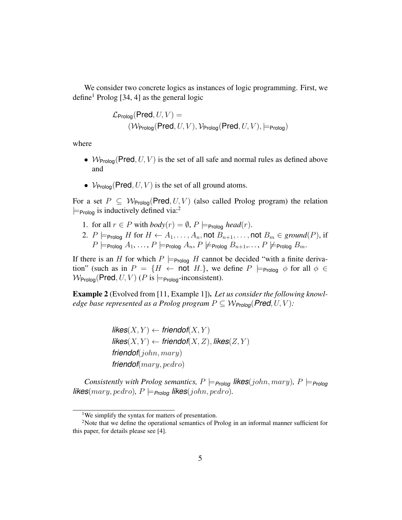We consider two concrete logics as instances of logic programming. First, we define<sup>1</sup> Prolog [34, 4] as the general logic

$$
\mathcal{L}_{\mathsf{Prolog}}(\mathsf{Pred}, U, V) = \newline (\mathcal{W}_{\mathsf{Prolog}}(\mathsf{Pred}, U, V), \mathcal{V}_{\mathsf{Prolog}}(\mathsf{Pred}, U, V), \models_{\mathsf{Prolog}})
$$

where

- $W_{\text{Proloq}}(\text{Pred}, U, V)$  is the set of all safe and normal rules as defined above and
- $V_{\text{Proloq}}(\text{Pred}, U, V)$  is the set of all ground atoms.

For a set  $P \subseteq W_{\text{Prolog}}(\text{Pred}, U, V)$  (also called Prolog program) the relation  $\models$ <sub>Prolog</sub> is inductively defined via:<sup>2</sup>

- 1. for all  $r \in P$  with  $body(r) = \emptyset$ ,  $P \models_{\text{Prolog}} head(r)$ .
- 2.  $P \models_{\text{Prolog}} H$  for  $H \leftarrow A_1, \ldots, A_n$ , not  $B_{n+1}, \ldots$ , not  $B_m \in \text{ground}(P)$ , if  $P \models_{\mathsf{Prolog}} A_1, \ldots, P \models_{\mathsf{Prolog}} A_n, P \not\models_{\mathsf{Prolog}} B_{n+1}, \ldots, P \not\models_{\mathsf{Prolog}} B_m.$

If there is an H for which  $P \models_{\text{Prolog}} H$  cannot be decided "with a finite derivation" (such as in  $P = \{H \leftarrow \text{not } H.\}$ , we define  $P \models_{\text{Proloq}} \phi$  for all  $\phi \in$  $W_{\text{Proloq}}(\text{Pred}, U, V)$  (P is  $\models_{\text{Proloq}}$ -inconsistent).

Example 2 (Evolved from [11, Example 1]). *Let us consider the following knowledge base represented as a Prolog program*  $P \subseteq W_{\text{Prolog}}(\text{Pred}, U, V)$ :

> $\mathsf{likes}(X, Y) \leftarrow \mathsf{friendof}(X, Y)$  $\mathsf{likes}(X, Y) \leftarrow \mathsf{friendof}(X, Z), \mathsf{likes}(Z, Y)$ *friendof*(john, mary) *friendof*(mary, pedro)

*Consistently with Prolog semantics,*  $P \models_{\text{Prolog}} \text{likes}(john,mary)$ ,  $P \models_{\text{Prolog}}$ *likes*( $mary, pedro$ ),  $P \models_{Prolog}$  *likes*( $john, pedro$ ).

<sup>&</sup>lt;sup>1</sup>We simplify the syntax for matters of presentation.

<sup>&</sup>lt;sup>2</sup>Note that we define the operational semantics of Prolog in an informal manner sufficient for this paper, for details please see [4].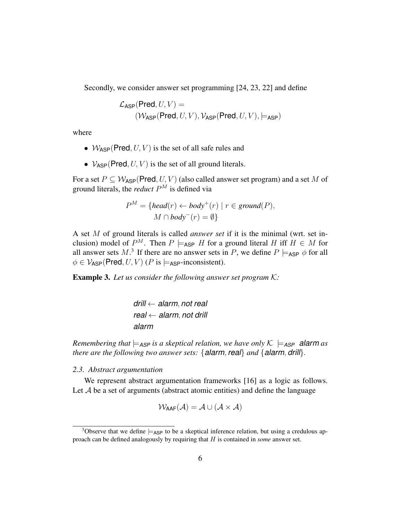Secondly, we consider answer set programming [24, 23, 22] and define

$$
\mathcal{L}_{\mathsf{ASP}}(\mathsf{Pred}, U, V) = \newline (\mathcal{W}_{\mathsf{ASP}}(\mathsf{Pred}, U, V), \mathcal{V}_{\mathsf{ASP}}(\mathsf{Pred}, U, V), \models_{\mathsf{ASP}})
$$

where

- $W_{ASP}(Pred, U, V)$  is the set of all safe rules and
- $V_{ASP}(Pred, U, V)$  is the set of all ground literals.

For a set  $P \subseteq W_{\text{ASP}}(\text{Pred}, U, V)$  (also called answer set program) and a set M of ground literals, the *reduct* P <sup>M</sup> is defined via

$$
P^{M} = \{head(r) \leftarrow body^{+}(r) \mid r \in ground(P),
$$
  

$$
M \cap body^{-}(r) = \emptyset \}
$$

A set M of ground literals is called *answer set* if it is the minimal (wrt. set inclusion) model of  $P^M$ . Then  $P \models_{\sf ASP} H$  for a ground literal H iff  $H \in M$  for all answer sets  $M$ <sup>3</sup>. If there are no answer sets in P, we define  $P \models_{\sf ASP} \phi$  for all  $\phi \in V_{\text{ASP}}(\text{Pred}, U, V)$  (*P* is  $\models_{\text{ASP}}$ -inconsistent).

Example 3. *Let us consider the following answer set program* K*:*

*drill* ← *alarm*, *not real real* ← *alarm*, *not drill alarm*

*Remembering that*  $\models$ <sub>*ASP</sub> is a skeptical relation, we have only*  $K \models$ <sub>*ASP*</sub> *alarm as*</sub> *there are the following two answer sets:* {*alarm*, *real*} *and* {*alarm*, *drill*}*.*

*2.3. Abstract argumentation*

We represent abstract argumentation frameworks [16] as a logic as follows. Let  $A$  be a set of arguments (abstract atomic entities) and define the language

$$
\mathcal{W}_{\textsf{AAF}}(\mathcal{A}) = \mathcal{A} \cup (\mathcal{A} \times \mathcal{A})
$$

<sup>&</sup>lt;sup>3</sup>Observe that we define  $\models$ ASP to be a skeptical inference relation, but using a credulous approach can be defined analogously by requiring that H is contained in *some* answer set.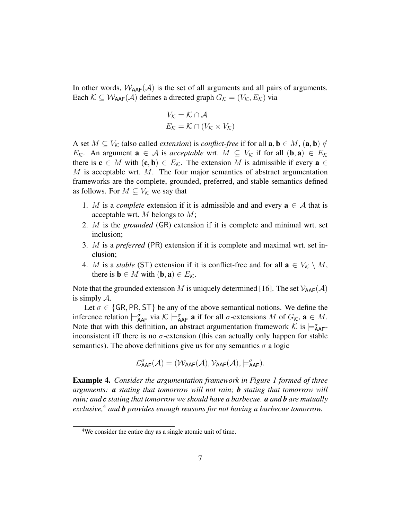In other words,  $W_{AAF}(\mathcal{A})$  is the set of all arguments and all pairs of arguments. Each  $K \subseteq W_{\text{AAF}}(\mathcal{A})$  defines a directed graph  $G_K = (V_K, E_K)$  via

$$
V_{\mathcal{K}} = \mathcal{K} \cap \mathcal{A}
$$

$$
E_{\mathcal{K}} = \mathcal{K} \cap (V_{\mathcal{K}} \times V_{\mathcal{K}})
$$

A set  $M \subseteq V_{\mathcal{K}}$  (also called *extension*) is *conflict-free* if for all  $\mathbf{a}, \mathbf{b} \in M$ ,  $(\mathbf{a}, \mathbf{b}) \notin$ *E*<sub>K</sub>. An argument **a** ∈ A is *acceptable* wrt.  $M \subseteq V_K$  if for all  $(b, a) \in E_K$ there is  $c \in M$  with  $(c, b) \in E_K$ . The extension M is admissible if every  $a \in$  $M$  is acceptable wrt.  $M$ . The four major semantics of abstract argumentation frameworks are the complete, grounded, preferred, and stable semantics defined as follows. For  $M \subseteq V_{\mathcal{K}}$  we say that

- 1. M is a *complete* extension if it is admissible and and every  $\mathbf{a} \in \mathcal{A}$  that is acceptable wrt. M belongs to  $M$ ;
- 2. M is the *grounded* (GR) extension if it is complete and minimal wrt. set inclusion;
- 3. M is a *preferred* (PR) extension if it is complete and maximal wrt. set inclusion;
- 4. M is a *stable* (ST) extension if it is conflict-free and for all  $\mathbf{a} \in V_{\mathcal{K}} \setminus M$ , there is  $\mathbf{b} \in M$  with  $(\mathbf{b}, \mathbf{a}) \in E_K$ .

Note that the grounded extension M is uniquely determined [16]. The set  $V_{AAF}(\mathcal{A})$ is simply A.

Let  $\sigma \in \{GR, PR, ST\}$  be any of the above semantical notions. We define the inference relation  $\models_{\mathsf{AAF}}^{\sigma}$  via  $\mathcal{K} \models_{\mathsf{AAF}}^{\sigma} \mathbf{a}$  if for all  $\sigma$ -extensions  $M$  of  $G_{\mathcal{K}}$ ,  $\mathbf{a} \in M$ . Note that with this definition, an abstract argumentation framework  $\mathcal{K}$  is  $\models_{\mathsf{AAF}}^{\sigma}$ inconsistent iff there is no  $\sigma$ -extension (this can actually only happen for stable semantics). The above definitions give us for any semantics  $\sigma$  a logic

$$
\mathcal{L}^{\sigma}_{\text{AAF}}(\mathcal{A}) = (\mathcal{W}_{\text{AAF}}(\mathcal{A}), \mathcal{V}_{\text{AAF}}(\mathcal{A}), \models^{\sigma}_{\text{AAF}}).
$$

Example 4. *Consider the argumentation framework in Figure 1 formed of three arguments: a stating that tomorrow will not rain; b stating that tomorrow will rain; and c stating that tomorrow we should have a barbecue. a and b are mutually exclusive,*<sup>4</sup> *and b provides enough reasons for not having a barbecue tomorrow.*

<sup>&</sup>lt;sup>4</sup>We consider the entire day as a single atomic unit of time.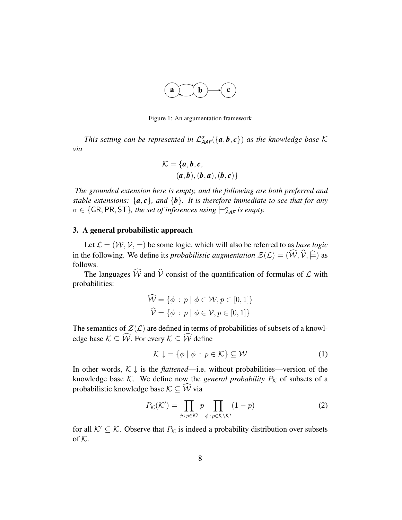

Figure 1: An argumentation framework

This setting can be represented in  $\mathcal{L}^{\sigma}_{\mathsf{AAF}}(\{\bm{a},\bm{b},\bm{c}\})$  as the knowledge base K *via*

$$
\mathcal{K} = \{a, b, c, (a, b), (b, a), (b, c)\}
$$

*The grounded extension here is empty, and the following are both preferred and stable extensions:*  $\{a, c\}$ *, and*  $\{b\}$ *. It is therefore immediate to see that for any*  $\sigma \in \{\textsf{GR}, \textsf{PR}, \textsf{ST}\},\$  the set of inferences using  $\models^{\sigma}_{\textsf{AAF}}$  is empty.

## 3. A general probabilistic approach

Let  $\mathcal{L} = (\mathcal{W}, \mathcal{V}, \models)$  be some logic, which will also be referred to as *base logic* in the following. We define its *probabilistic augmentation*  $\mathcal{Z}(\mathcal{L}) = (\widehat{W}, \widehat{V}, \widehat{\models})$  as follows.

The languages  $\widehat{W}$  and  $\widehat{V}$  consist of the quantification of formulas of  $\mathcal L$  with probabilities:

$$
\widehat{\mathcal{W}} = \{ \phi : p \mid \phi \in \mathcal{W}, p \in [0, 1] \}
$$

$$
\widehat{\mathcal{V}} = \{ \phi : p \mid \phi \in \mathcal{V}, p \in [0, 1] \}
$$

The semantics of  $\mathcal{Z}(\mathcal{L})$  are defined in terms of probabilities of subsets of a knowledge base  $K \subseteq \widehat{W}$ . For every  $K \subseteq \widehat{W}$  define

$$
\mathcal{K} \downarrow = \{ \phi \mid \phi : p \in \mathcal{K} \} \subseteq \mathcal{W} \tag{1}
$$

In other words,  $K \downarrow$  is the *flattened*—i.e. without probabilities—version of the knowledge base K. We define now the *general probability*  $P_K$  of subsets of a probabilistic knowledge base  $K \subseteq \widehat{W}$  via

$$
P_{\mathcal{K}}(\mathcal{K}') = \prod_{\phi \,:\, p \in \mathcal{K}'} p \prod_{\phi \,:\, p \in \mathcal{K} \setminus \mathcal{K}'} (1 - p) \tag{2}
$$

for all  $K' \subseteq K$ . Observe that  $P_K$  is indeed a probability distribution over subsets of  $K$ .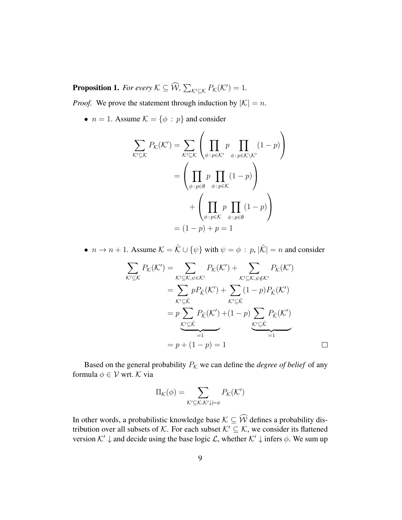**Proposition 1.** For every  $K \subseteq \widehat{W}$ ,  $\sum_{\mathcal{K}' \subseteq \mathcal{K}} P_{\mathcal{K}}(\mathcal{K}') = 1$ .

*Proof.* We prove the statement through induction by  $|K| = n$ .

•  $n = 1$ . Assume  $\mathcal{K} = \{\phi : p\}$  and consider

$$
\sum_{\mathcal{K}' \subseteq \mathcal{K}} P_{\mathcal{K}}(\mathcal{K}') = \sum_{\mathcal{K}' \subseteq \mathcal{K}} \left( \prod_{\phi : p \in \mathcal{K}'} p \prod_{\phi : p \in \mathcal{K} \setminus \mathcal{K}'} (1 - p) \right)
$$

$$
= \left( \prod_{\phi : p \in \emptyset} p \prod_{\phi : p \in \mathcal{K}} (1 - p) \right)
$$

$$
+ \left( \prod_{\phi : p \in \mathcal{K}} p \prod_{\phi : p \in \emptyset} (1 - p) \right)
$$

$$
= (1 - p) + p = 1
$$

•  $n \to n + 1$ . Assume  $\mathcal{K} = \tilde{\mathcal{K}} \cup {\psi}$  with  $\psi = \phi : p, |\tilde{\mathcal{K}}| = n$  and consider

$$
\sum_{\mathcal{K}' \subseteq \mathcal{K}} P_{\mathcal{K}}(\mathcal{K}') = \sum_{\mathcal{K}' \subseteq \mathcal{K}, \psi \in \mathcal{K}'} P_{\mathcal{K}}(\mathcal{K}') + \sum_{\mathcal{K}' \subseteq \mathcal{K}, \psi \notin \mathcal{K}'} P_{\mathcal{K}}(\mathcal{K}')
$$
\n
$$
= \sum_{\mathcal{K}' \subseteq \tilde{\mathcal{K}}} p P_{\tilde{\mathcal{K}}}(\mathcal{K}') + \sum_{\mathcal{K}' \subseteq \tilde{\mathcal{K}}} (1 - p) P_{\tilde{\mathcal{K}}}(\mathcal{K}')
$$
\n
$$
= p \sum_{\mathcal{K}' \subseteq \tilde{\mathcal{K}}} P_{\tilde{\mathcal{K}}}(\mathcal{K}') + (1 - p) \sum_{\mathcal{K}' \subseteq \tilde{\mathcal{K}}} P_{\tilde{\mathcal{K}}}(\mathcal{K}')
$$
\n
$$
= p + (1 - p) = 1
$$

Based on the general probability  $P_K$  we can define the *degree of belief* of any formula  $\phi \in \mathcal{V}$  wrt. K via

$$
\Pi_{\mathcal{K}}(\phi) = \sum_{\mathcal{K}' \subseteq \mathcal{K}, \mathcal{K}' \downarrow \models \phi} P_{\mathcal{K}}(\mathcal{K}')
$$

In other words, a probabilistic knowledge base  $K \subseteq \widehat{W}$  defines a probability distribution over all subsets of K. For each subset  $K' \subseteq K$ , we consider its flattened version  $K' \downarrow$  and decide using the base logic  $\mathcal{L}$ , whether  $K' \downarrow$  infers  $\phi$ . We sum up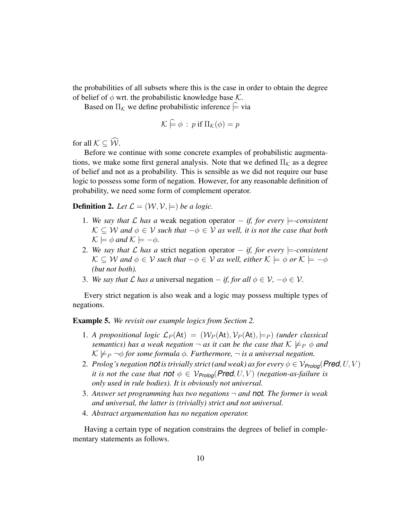the probabilities of all subsets where this is the case in order to obtain the degree of belief of  $\phi$  wrt. the probabilistic knowledge base K.

Based on  $\Pi_{\mathcal{K}}$  we define probabilistic inference  $\varphi$  via

$$
\mathcal{K} \models \phi : p \text{ if } \Pi_{\mathcal{K}}(\phi) = p
$$

for all  $K \subseteq \widehat{W}$ .

Before we continue with some concrete examples of probabilistic augmentations, we make some first general analysis. Note that we defined  $\Pi_{\mathcal{K}}$  as a degree of belief and not as a probability. This is sensible as we did not require our base logic to possess some form of negation. However, for any reasonable definition of probability, we need some form of complement operator.

**Definition 2.** Let  $\mathcal{L} = (\mathcal{W}, \mathcal{V}, \models)$  be a logic.

- 1. *We say that* L *has a* weak negation operator − *if, for every* |=*-consistent*  $\mathcal{K}$  ⊂ W and  $\phi$  ∈ V such that  $-\phi \in V$  as well, it is not the case that both  $\mathcal{K} \models \phi$  and  $\mathcal{K} \models -\phi$ .
- 2. We say that *L* has a strict negation operator − *if, for every*  $\models$ -consistent  $\mathcal{K} \subseteq \mathcal{W}$  and  $\phi \in \mathcal{V}$  such that  $-\phi \in \mathcal{V}$  as well, either  $\mathcal{K} \models \phi$  or  $\mathcal{K} \models -\phi$ *(but not both).*
- 3. We say that L has a universal negation  $-i$ *f, for all*  $\phi \in \mathcal{V}$ ,  $-\phi \in \mathcal{V}$ .

Every strict negation is also weak and a logic may possess multiple types of negations.

Example 5. *We revisit our example logics from Section 2.*

- 1. A propositional logic  $\mathcal{L}_P(\mathsf{At}) = (\mathcal{W}_P(\mathsf{At}), \mathcal{V}_P(\mathsf{At}), \models_P)$  *(under classical semantics)* has a weak negation  $\neg$  *as it can be the case that*  $K \nvdash_{P} \phi$  *and*  $\mathcal{K} \not\models_{P} \neg \phi$  *for some formula*  $\phi$ *. Furthermore,*  $\neg$  *is a universal negation.*
- 2. *Prolog's negation notis trivially strict (and weak) as for every*  $\phi \in \mathcal{V}_{\text{Prolog}}(\text{Pred}, U, V)$ *it is not the case that not*  $\phi \in V_{\text{Prolog}}(\text{Pred}, U, V)$  (negation-as-failure is *only used in rule bodies). It is obviously not universal.*
- 3. *Answer set programming has two negations* ¬ *and not. The former is weak and universal, the latter is (trivially) strict and not universal.*
- 4. *Abstract argumentation has no negation operator.*

Having a certain type of negation constrains the degrees of belief in complementary statements as follows.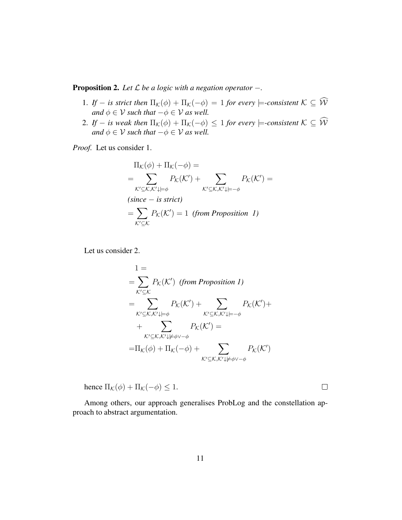Proposition 2. *Let* L *be a logic with a negation operator* −*.*

- 1. *If* − *is strict then*  $\Pi_{\mathcal{K}}(\phi) + \Pi_{\mathcal{K}}(-\phi) = 1$  *for every*  $\models$ *-consistent*  $\mathcal{K} \subseteq \widehat{\mathcal{W}}$ *and*  $\phi \in V$  *such that*  $-\phi \in V$  *as well.*
- 2. *If* − *is weak then*  $\Pi_{\mathcal{K}}(\phi) + \Pi_{\mathcal{K}}(-\phi) \leq 1$  *for every*  $\models$ -consistent  $\mathcal{K} \subseteq \widehat{\mathcal{W}}$ *and*  $\phi \in V$  *such that*  $-\phi \in V$  *as well.*

*Proof.* Let us consider 1.

$$
\Pi_{\mathcal{K}}(\phi) + \Pi_{\mathcal{K}}(-\phi) =
$$
\n
$$
= \sum_{\mathcal{K}' \subseteq \mathcal{K}, \mathcal{K}' \downarrow \models \phi} P_{\mathcal{K}}(\mathcal{K}') + \sum_{\mathcal{K}' \subseteq \mathcal{K}, \mathcal{K}' \downarrow \models -\phi} P_{\mathcal{K}}(\mathcal{K}') =
$$
\n(since – is strict)\n
$$
= \sum_{\mathcal{K}' \subseteq \mathcal{K}} P_{\mathcal{K}}(\mathcal{K}') = 1 \text{ (from Proposition I)}
$$

Let us consider 2.

$$
1 = \sum_{\mathcal{K}' \subseteq \mathcal{K}} P_{\mathcal{K}}(\mathcal{K}') \text{ (from Proposition 1)}
$$
  
\n
$$
= \sum_{\mathcal{K}' \subseteq \mathcal{K}, \mathcal{K}' \downarrow \models \phi} P_{\mathcal{K}}(\mathcal{K}') + \sum_{\mathcal{K}' \subseteq \mathcal{K}, \mathcal{K}' \downarrow \models -\phi} P_{\mathcal{K}}(\mathcal{K}') + \sum_{\mathcal{K}' \subseteq \mathcal{K}, \mathcal{K}' \downarrow \neq \phi \vee -\phi} P_{\mathcal{K}}(\mathcal{K}') = \prod_{\mathcal{K}}(\phi) + \Pi_{\mathcal{K}}(-\phi) + \sum_{\mathcal{K}' \subseteq \mathcal{K}, \mathcal{K}' \downarrow \neq \phi \vee -\phi} P_{\mathcal{K}}(\mathcal{K}')
$$

hence  $\Pi_{\mathcal{K}}(\phi) + \Pi_{\mathcal{K}}(-\phi) \leq 1$ .

Among others, our approach generalises ProbLog and the constellation approach to abstract argumentation.

 $\Box$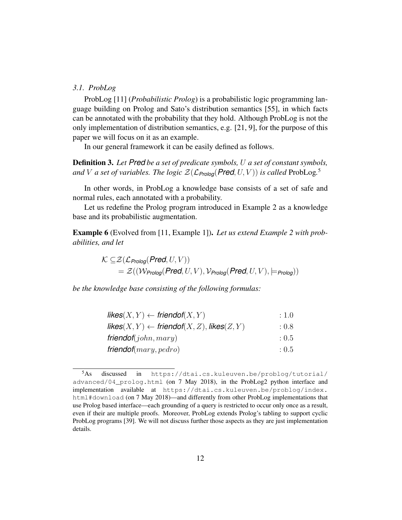## *3.1. ProbLog*

ProbLog [11] (*Probabilistic Prolog*) is a probabilistic logic programming language building on Prolog and Sato's distribution semantics [55], in which facts can be annotated with the probability that they hold. Although ProbLog is not the only implementation of distribution semantics, e.g. [21, 9], for the purpose of this paper we will focus on it as an example.

In our general framework it can be easily defined as follows.

Definition 3. *Let Pred be a set of predicate symbols,* U *a set of constant symbols,* and V a set of variables. The logic  $\mathcal{Z}(\mathcal{L}_{\mathsf{Prolog}}(\mathsf{Pred}, U, V))$  is called  $\mathsf{ProbLog}$ .<sup>5</sup>

In other words, in ProbLog a knowledge base consists of a set of safe and normal rules, each annotated with a probability.

Let us redefine the Prolog program introduced in Example 2 as a knowledge base and its probabilistic augmentation.

Example 6 (Evolved from [11, Example 1]). *Let us extend Example 2 with probabilities, and let*

$$
\mathcal{K} \subseteq \mathcal{Z}(\mathcal{L}_{\text{Prolog}}(\text{Pred}, U, V))
$$
  
=  $\mathcal{Z}((\mathcal{W}_{\text{Prolog}}(\text{Pred}, U, V), \mathcal{V}_{\text{Prolog}}(\text{Pred}, U, V), \models_{\text{Prolog}}))$ 

*be the knowledge base consisting of the following formulas:*

| $\mathsf{likes}(X, Y) \leftarrow \mathsf{friendof}(X, Y)$    | : 1.0 |
|--------------------------------------------------------------|-------|
| likes $(X, Y) \leftarrow$ friendof $(X, Z)$ , likes $(Z, Y)$ | : 0.8 |
| friendof $(john,mary)$                                       | : 0.5 |
| friendof $(mary, pedro)$                                     | : 0.5 |

<sup>5</sup>As discussed in https://dtai.cs.kuleuven.be/problog/tutorial/ advanced/04\_prolog.html (on 7 May 2018), in the ProbLog2 python interface and implementation available at https://dtai.cs.kuleuven.be/problog/index. html#download (on 7 May 2018)—and differently from other ProbLog implementations that use Prolog based interface—each grounding of a query is restricted to occur only once as a result, even if their are multiple proofs. Moreover, ProbLog extends Prolog's tabling to support cyclic ProbLog programs [39]. We will not discuss further those aspects as they are just implementation details.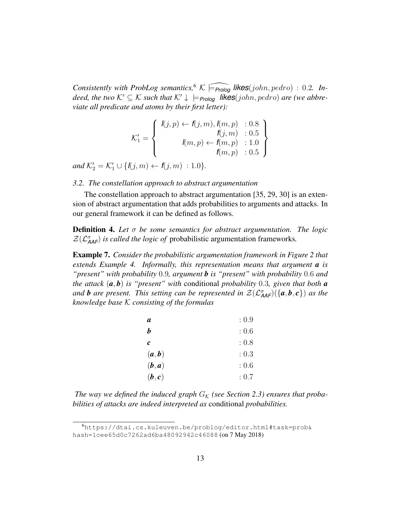*Consistently with ProbLog semantics*,<sup>6</sup>  $K \longleftarrow$   $\widehat{Prolog}$  *likes*(*john, pedro*) : 0.2*. Indeed, the two*  $K' \subseteq K$  *such that*  $K' \downarrow \models_{\text{Prolog}}$  **likes**(john, pedro) are (we abbre*viate all predicate and atoms by their first letter):*

$$
\mathcal{K}'_1 = \left\{ \begin{array}{r} l(j,p) \leftarrow f(j,m), l(m,p) : 0.8 \\ f(j,m) : 0.5 \\ l(m,p) \leftarrow f(m,p) : 1.0 \\ f(m,p) : 0.5 \end{array} \right\}
$$

*and*  $\mathcal{K}'_2 = \mathcal{K}'_1 \cup \{I(j, m) \leftarrow f(j, m) : 1.0\}.$ 

## *3.2. The constellation approach to abstract argumentation*

The constellation approach to abstract argumentation [35, 29, 30] is an extension of abstract argumentation that adds probabilities to arguments and attacks. In our general framework it can be defined as follows.

Definition 4. *Let* σ *be some semantics for abstract argumentation. The logic*  $\mathcal{Z}(\mathcal{L}^{\sigma}_{\mathsf{AAF}})$  *is called the logic of* probabilistic argumentation frameworks.

Example 7. *Consider the probabilistic argumentation framework in Figure 2 that extends Example 4. Informally, this representation means that argument a is "present" with probability* 0.9*, argument b is "present" with probability* 0.6 *and the attack* (*a*, *b*) *is "present" with* conditional *probability* 0.3*, given that both a* and **b** are present. This setting can be represented in  $\mathcal{Z}(\mathcal{L}^{\sigma}_{\mathsf{AAF}})(\{\bm{a},\bm{b},\bm{c}\})$  as the *knowledge base* K *consisting of the formulas*

| a                | : 0.9 |
|------------------|-------|
| b                | :0.6  |
| $\boldsymbol{c}$ | : 0.8 |
| (a,b)            | : 0.3 |
| (b,a)            | :0.6  |
| (b, c)           | : 0.7 |

The way we defined the induced graph  $G_K$  (see Section 2.3) ensures that proba*bilities of attacks are indeed interpreted as* conditional *probabilities.*

<sup>6</sup>https://dtai.cs.kuleuven.be/problog/editor.html#task=prob& hash=1cee65d0c7262ad6ba48092942c46088 (on 7 May 2018)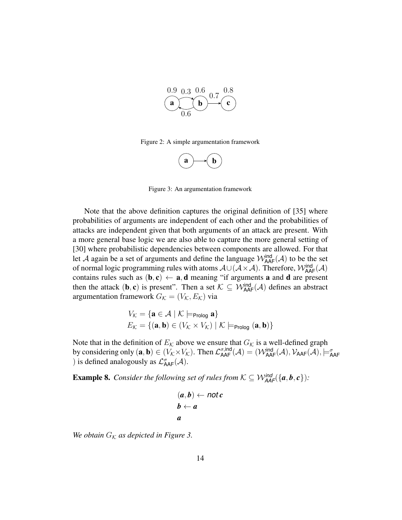

Figure 2: A simple argumentation framework



Figure 3: An argumentation framework

Note that the above definition captures the original definition of [35] where probabilities of arguments are independent of each other and the probabilities of attacks are independent given that both arguments of an attack are present. With a more general base logic we are also able to capture the more general setting of [30] where probabilistic dependencies between components are allowed. For that let A again be a set of arguments and define the language  $\mathcal{W}_{\mathsf{AAF}}^{\mathsf{ind}}(\mathcal{A})$  to be the set of normal logic programming rules with atoms  $\mathcal{A}\cup(\mathcal{A}\times\mathcal{A})$ . Therefore,  $\mathcal{W}^{\text{ind}}_{\text{AAF}}(\mathcal{A})$ contains rules such as  $(b, c) \leftarrow a$ , **d** meaning "if arguments **a** and **d** are present then the attack  $(\mathbf{b}, \mathbf{c})$  is present". Then a set  $\mathcal{K} \subseteq \mathcal{W}_{\mathsf{AAF}}^{\mathsf{ind}}(\mathcal{A})$  defines an abstract argumentation framework  $G_K = (V_K, E_K)$  via

$$
V_{\mathcal{K}} = \{ \mathbf{a} \in \mathcal{A} \mid \mathcal{K} \models_{\text{Prolog}} \mathbf{a} \}
$$

$$
E_{\mathcal{K}} = \{ (\mathbf{a}, \mathbf{b}) \in (V_{\mathcal{K}} \times V_{\mathcal{K}}) \mid \mathcal{K} \models_{\text{Prolog}} (\mathbf{a}, \mathbf{b}) \}
$$

Note that in the definition of  $E_{\mathcal{K}}$  above we ensure that  $G_{\mathcal{K}}$  is a well-defined graph by considering only  $(\mathbf{a}, \mathbf{b}) \in (V_{\mathcal{K}} \times V_{\mathcal{K}})$ . Then  $\mathcal{L}_{\mathsf{AAF}}^{\sigma, \mathsf{ind}}(\mathcal{A}) = (\mathcal{W}_{\mathsf{AAF}}^{\mathsf{ind}}(\mathcal{A}), \mathcal{V}_{\mathsf{AAF}}(\mathcal{A}), \models_{\mathsf{AAF}}^{\sigma}$ ) is defined analogously as  $\mathcal{L}^{\sigma}_{\mathsf{AAF}}(\mathcal{A})$ .

**Example 8.** *Consider the following set of rules from*  $K \subseteq \mathcal{W}_{AAF}^{ind}(\{a,b,c\})$ :

$$
(a,b) \leftarrow \textit{not } c
$$
  

$$
b \leftarrow a
$$
  

$$
a
$$

*We obtain*  $G_K$  *as depicted in Figure 3.*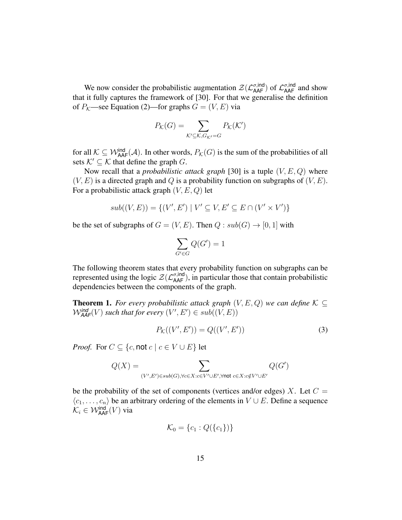We now consider the probabilistic augmentation  $\mathcal{Z}(\mathcal{L}_{\sf AAF}^{\sigma, \sf ind})$  of  $\mathcal{L}_{\sf AAF}^{\sigma, \sf ind}$  and show that it fully captures the framework of [30]. For that we generalise the definition of  $P_K$ —see Equation (2)—for graphs  $G = (V, E)$  via

$$
P_{\mathcal{K}}(G) = \sum_{\mathcal{K}' \subseteq \mathcal{K}, G_{\mathcal{K}'} = G} P_{\mathcal{K}}(\mathcal{K}')
$$

for all  $K \subseteq W_{\text{AAF}}^{\text{ind}}(\mathcal{A})$ . In other words,  $P_{\mathcal{K}}(G)$  is the sum of the probabilities of all sets  $K' \subseteq K$  that define the graph G.

Now recall that a *probabilistic attack graph* [30] is a tuple (V, E, Q) where  $(V, E)$  is a directed graph and Q is a probability function on subgraphs of  $(V, E)$ . For a probabilistic attack graph  $(V, E, Q)$  let

$$
sub((V, E)) = \{(V', E') \mid V' \subseteq V, E' \subseteq E \cap (V' \times V')\}
$$

be the set of subgraphs of  $G = (V, E)$ . Then  $Q : sub(G) \rightarrow [0, 1]$  with

$$
\sum_{G' \in G} Q(G') = 1
$$

The following theorem states that every probability function on subgraphs can be represented using the logic  $\mathcal{Z}(\mathcal{L}_{\mathsf{AAF}}^{\sigma, \mathsf{ind}})$ , in particular those that contain probabilistic dependencies between the components of the graph.

**Theorem 1.** *For every probabilistic attack graph*  $(V, E, Q)$  *we can define*  $K \subseteq$  $W_{\mathsf{A}\mathsf{A}\mathsf{F}}^{\mathsf{ind}}(V)$  such that for every  $(V', E') \in sub((V, E))$ 

$$
P_{\mathcal{K}}((V', E')) = Q((V', E')) \tag{3}
$$

*Proof.* For  $C \subseteq \{c, \text{not } c \mid c \in V \cup E\}$  let

$$
Q(X) = \sum_{(V',E') \in sub(G), \forall c \in X: c \in V' \cup E', \forall \text{not } c \in X: c \notin V' \cup E'} Q(G')
$$

be the probability of the set of components (vertices and/or edges) X. Let  $C =$  $\langle c_1, \ldots, c_n \rangle$  be an arbitrary ordering of the elements in  $V \cup E$ . Define a sequence  $\mathcal{K}_i \in \mathcal{W}^{\textsf{ind}}_{\textsf{AAF}}(V)$  via

$$
\mathcal{K}_0 = \{c_1 : Q(\{c_1\})\}
$$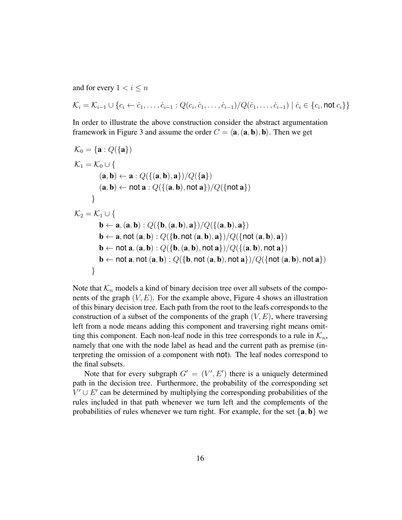and for every  $1 < i \leq n$ 

$$
\mathcal{K}_i = \mathcal{K}_{i-1} \cup \{c_i \leftarrow c_1, \dots, c_{i-1} : Q(c_i, c_1, \dots, c_{i-1}) / Q(c_1, \dots, c_{i-1}) \mid c_i \in \{c_i, \text{not } c_i\}\}
$$

In order to illustrate the above construction consider the abstract argumentation framework in Figure 3 and assume the order  $C = \langle \mathbf{a}, (\mathbf{a}, \mathbf{b}), \mathbf{b} \rangle$ . Then we get

$$
\mathcal{K}_0 = \{ \mathbf{a} : Q(\{\mathbf{a}\})
$$
\n
$$
\mathcal{K}_1 = \mathcal{K}_0 \cup \{ \mathbf{(a, b) \leftarrow a} : Q(\{(\mathbf{a, b}), \mathbf{a}\}) / Q(\{\mathbf{a}\}) \mathbf{(a, b) \leftarrow not \mathbf{a} : Q(\{(\mathbf{a, b}), \mathbf{not} \mathbf{a}\}) / Q(\{\mathbf{not} \mathbf{a}\}) \mathbf{b} \}
$$
\n
$$
\}
$$
\n
$$
\mathcal{K}_2 = \mathcal{K}_1 \cup \{ \mathbf{b \leftarrow a, (\mathbf{a, b}) : Q(\{\mathbf{b}, (\mathbf{a, b}), \mathbf{a}\}) / Q(\{\mathbf{(a, b)}, \mathbf{a}\}) \mathbf{b} \leftarrow \mathbf{a}, \mathbf{not} (\mathbf{a, b}) : Q(\{\mathbf{b}, \mathbf{not} \mathbf{(a, b)}, \mathbf{a}\}) / Q(\{\mathbf{not} \mathbf{(a, b)}, \mathbf{a}\}) \mathbf{b} \leftarrow \mathbf{not} \mathbf{a}, (\mathbf{a, b}) : Q(\{\mathbf{b}, (\mathbf{a, b}), \mathbf{not} \mathbf{a}\}) / Q(\{\mathbf{(a, b)}, \mathbf{not} \mathbf{a}\}) \mathbf{b} \leftarrow \mathbf{not} \mathbf{a}, \mathbf{not} (\mathbf{a, b}) : Q(\{\mathbf{b}, (\mathbf{a, b}), \mathbf{not} \mathbf{a}\}) / Q(\{\mathbf{not} \mathbf{(a, b)}, \mathbf{not} \mathbf{a}\}) \mathbf{b} \leftarrow \mathbf{not} \mathbf{a}, \mathbf{not} (\mathbf{a, b}) : Q(\{\mathbf{b}, \mathbf{not} \mathbf{(a, b)}, \mathbf{not} \mathbf{a}\}) / Q(\{\mathbf{not} \mathbf{(a, b)}, \mathbf{not} \mathbf{a}\}) \mathbf{b} \leftarrow \mathbf{not} \mathbf{a}, \mathbf{not} (\mathbf{a, b}) : Q(\{\mathbf{b}, \mathbf{not} \mathbf{(a, b)}, \mathbf{not} \mathbf{a}\}) / Q(\{\mathbf{not} \mathbf{(a, b)}, \mathbf{not} \mathbf{a}\})
$$

Note that  $\mathcal{K}_n$  models a kind of binary decision tree over all subsets of the components of the graph  $(V, E)$ . For the example above, Figure 4 shows an illustration of this binary decision tree. Each path from the root to the leafs corresponds to the construction of a subset of the components of the graph  $(V, E)$ , where traversing left from a node means adding this component and traversing right means omitting this component. Each non-leaf node in this tree corresponds to a rule in  $\mathcal{K}_n$ , namely that one with the node label as head and the current path as premise (interpreting the omission of a component with not). The leaf nodes correspond to the final subsets.

Note that for every subgraph  $G' = (V', E')$  there is a uniquely determined path in the decision tree. Furthermore, the probability of the corresponding set  $V' \cup E'$  can be determined by multiplying the corresponding probabilities of the rules included in that path whenever we turn left and the complements of the probabilities of rules whenever we turn right. For example, for the set  $\{a, b\}$  we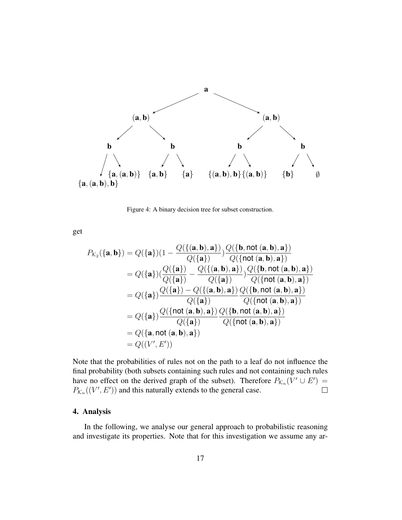

Figure 4: A binary decision tree for subset construction.

get

$$
P_{\mathcal{K}_2}(\{\mathbf{a},\mathbf{b}\}) = Q(\{\mathbf{a}\})(1 - \frac{Q(\{(\mathbf{a},\mathbf{b}),\mathbf{a}\})}{Q(\{\mathbf{a}\})})\frac{Q(\{\mathbf{b},\text{not }(\mathbf{a},\mathbf{b}),\mathbf{a}\})}{Q(\{\text{not }(\mathbf{a},\mathbf{b}),\mathbf{a}\})}
$$
  
\n
$$
= Q(\{\mathbf{a}\})(\frac{Q(\{\mathbf{a}\})}{Q(\{\mathbf{a}\})} - \frac{Q(\{\mathbf{a},\mathbf{b}),\mathbf{a}\})}{Q(\{\mathbf{a},\mathbf{b},\mathbf{a}\})} \frac{Q(\{\mathbf{b},\text{not }(\mathbf{a},\mathbf{b}),\mathbf{a}\})}{Q(\{\text{not }(\mathbf{a},\mathbf{b}),\mathbf{a}\})}
$$
  
\n
$$
= Q(\{\mathbf{a}\})\frac{Q(\{\mathbf{a}\}) - Q(\{\mathbf{a},\mathbf{b}),\mathbf{a}\})}{Q(\{\mathbf{a}\})} \frac{Q(\{\mathbf{b},\text{not }(\mathbf{a},\mathbf{b}),\mathbf{a}\})}{Q(\{\text{not }(\mathbf{a},\mathbf{b}),\mathbf{a}\})}
$$
  
\n
$$
= Q(\{\mathbf{a}\})\frac{Q(\{\text{not }(\mathbf{a},\mathbf{b}),\mathbf{a}\})}{Q(\{\mathbf{a}\})} \frac{Q(\{\mathbf{b},\text{not }(\mathbf{a},\mathbf{b}),\mathbf{a}\})}{Q(\{\text{not }(\mathbf{a},\mathbf{b}),\mathbf{a}\})}
$$
  
\n
$$
= Q(\{\mathbf{a},\text{not }(\mathbf{a},\mathbf{b}),\mathbf{a}\})
$$
  
\n
$$
= Q((\mathbf{v}',\mathbf{E}'))
$$

Note that the probabilities of rules not on the path to a leaf do not influence the final probability (both subsets containing such rules and not containing such rules have no effect on the derived graph of the subset). Therefore  $P_{\mathcal{K}_n}(V' \cup E') =$  $P_{\mathcal{K}_n}((V', E'))$  and this naturally extends to the general case.  $\Box$ 

## 4. Analysis

In the following, we analyse our general approach to probabilistic reasoning and investigate its properties. Note that for this investigation we assume any ar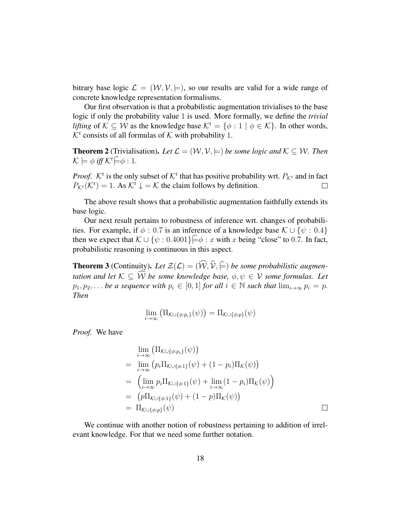bitrary base logic  $\mathcal{L} = (\mathcal{W}, \mathcal{V}, \models)$ , so our results are valid for a wide range of concrete knowledge representation formalisms.

Our first observation is that a probabilistic augmentation trivialises to the base logic if only the probability value 1 is used. More formally, we define the *trivial lifting* of  $K \subseteq W$  as the knowledge base  $K^t = \{\phi : 1 \mid \phi \in K\}$ . In other words,  $K<sup>t</sup>$  consists of all formulas of K with probability 1.

**Theorem 2** (Trivialisation). Let  $\mathcal{L} = (\mathcal{W}, \mathcal{V}, \models)$  be some logic and  $\mathcal{K} \subseteq \mathcal{W}$ . Then  $\mathcal{K} \models \phi \text{ iff } \mathcal{K}^t \models \phi : 1.$ 

*Proof.*  $K^t$  is the only subset of  $K^t$  that has positive probability wrt.  $P_{K^t}$  and in fact  $P_{\mathcal{K}^t}(\mathcal{K}^t) = 1$ . As  $\mathcal{K}^t \downarrow = \mathcal{K}$  the claim follows by definition.  $\Box$ 

The above result shows that a probabilistic augmentation faithfully extends its base logic.

Our next result pertains to robustness of inference wrt. changes of probabilities. For example, if  $\phi$  : 0.7 is an inference of a knowledge base  $\mathcal{K} \cup {\psi : 0.4}$ then we expect that  $\mathcal{K} \cup {\psi : 0.4001} \models \phi : x$  with x being "close" to 0.7. In fact, probabilistic reasoning is continuous in this aspect.

**Theorem 3** (Continuity). Let  $\mathcal{Z}(\mathcal{L}) = (\widehat{\mathcal{W}}, \widehat{\mathcal{V}}, \widehat{\models})$  be some probabilistic augmen*tation and let*  $K \subseteq \widehat{W}$  *be some knowledge base,*  $\phi, \psi \in V$  *some formulas. Let*  $p_1, p_2, \ldots$  *be a sequence with*  $p_i \in [0, 1]$  *for all*  $i \in \mathbb{N}$  *such that*  $\lim_{i \to \infty} p_i = p$ . *Then*

$$
\lim_{i \to \infty} \left( \Pi_{\mathcal{K} \cup \{\phi: p_i\}}(\psi) \right) = \Pi_{\mathcal{K} \cup \{\phi: p\}}(\psi)
$$

*Proof.* We have

$$
\lim_{i \to \infty} (\Pi_{\mathcal{K} \cup \{\phi: p_i\}}(\psi))
$$
\n
$$
= \lim_{i \to \infty} (p_i \Pi_{\mathcal{K} \cup \{\phi: 1\}}(\psi) + (1 - p_i) \Pi_{\mathcal{K}}(\psi))
$$
\n
$$
= \left( \lim_{i \to \infty} p_i \Pi_{\mathcal{K} \cup \{\phi: 1\}}(\psi) + \lim_{i \to \infty} (1 - p_i) \Pi_{\mathcal{K}}(\psi) \right)
$$
\n
$$
= (p \Pi_{\mathcal{K} \cup \{\phi: 1\}}(\psi) + (1 - p) \Pi_{\mathcal{K}}(\psi))
$$
\n
$$
= \Pi_{\mathcal{K} \cup \{\phi: p\}}(\psi)
$$

We continue with another notion of robustness pertaining to addition of irrelevant knowledge. For that we need some further notation.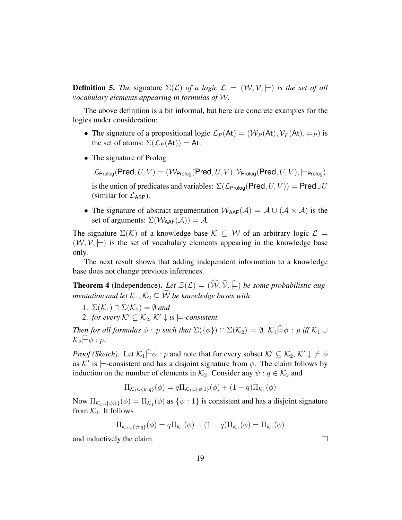**Definition 5.** *The* signature  $\Sigma(\mathcal{L})$  *of a logic*  $\mathcal{L} = (\mathcal{W}, \mathcal{V}, \models)$  *is the set of all vocabulary elements appearing in formulas of* W*.*

The above definition is a bit informal, but here are concrete examples for the logics under consideration:

- The signature of a propositional logic  $\mathcal{L}_P(\mathsf{At}) = (\mathcal{W}_P(\mathsf{At}), \mathcal{V}_P(\mathsf{At}), \models_P)$  is the set of atoms:  $\Sigma(\mathcal{L}_P(\mathsf{At})) = \mathsf{At}.$
- The signature of Prolog

 $\mathcal{L}_{\text{Proloq}}(\text{Pred}, U, V) = (\mathcal{W}_{\text{Proloq}}(\text{Pred}, U, V), \mathcal{V}_{\text{Proloq}}(\text{Pred}, U, V), \models_{\text{Proloq}})$ 

is the union of predicates and variables:  $\Sigma(\mathcal{L}_{\text{Proloq}}(\text{Pred}, U, V)) = \text{Pred} \cup U$ (similar for  $\mathcal{L}_{\sf ASP}$ ).

• The signature of abstract argumentation  $W_{AAF}(\mathcal{A}) = \mathcal{A} \cup (\mathcal{A} \times \mathcal{A})$  is the set of arguments:  $\Sigma(\mathcal{W}_{\text{AAF}}(\mathcal{A})) = \mathcal{A}$ .

The signature  $\Sigma(\mathcal{K})$  of a knowledge base  $\mathcal{K} \subseteq \mathcal{W}$  of an arbitrary logic  $\mathcal{L} =$  $(W, V, \models)$  is the set of vocabulary elements appearing in the knowledge base only.

The next result shows that adding independent information to a knowledge base does not change previous inferences.

**Theorem 4** (Independence). Let  $\mathcal{Z}(\mathcal{L}) = (\widehat{\mathcal{W}}, \widehat{\mathcal{V}}, \widehat{\models})$  be some probabilistic aug*mentation and let*  $\mathcal{K}_1, \mathcal{K}_2 \subseteq \widehat{\mathcal{W}}$  *be knowledge bases with* 

- 1.  $\Sigma(\mathcal{K}_1) \cap \Sigma(\mathcal{K}_2) = \emptyset$  and
- 2. *for every*  $K' \subseteq K_2$ ,  $K' \downarrow$  *is*  $\models$ *-consistent.*

*Then for all formulas*  $\phi : p$  *such that*  $\Sigma({\{\phi\}}) \cap \Sigma(\mathcal{K}_2) = \emptyset$ *,*  $\mathcal{K}_1 \models \phi : p$  *iff*  $\mathcal{K}_1 \cup$  $\mathcal{K}_2 \not\models \phi : p$ .

*Proof (Sketch).* Let  $\mathcal{K}_1 \in \phi : p$  and note that for every subset  $\mathcal{K}' \subset \mathcal{K}_2$ ,  $\mathcal{K}' \downarrow \not\models \phi$ as K' is  $\models$ -consistent and has a disjoint signature from  $\phi$ . The claim follows by induction on the number of elements in  $\mathcal{K}_2$ . Consider any  $\psi : q \in \mathcal{K}_2$  and

$$
\Pi_{\mathcal{K}_1 \cup \{\psi:q\}}(\phi) = q \Pi_{\mathcal{K}_1 \cup \{\psi:1\}}(\phi) + (1-q) \Pi_{\mathcal{K}_1}(\phi)
$$

Now  $\Pi_{\mathcal{K}_1 \cup \{\psi:1\}}(\phi) = \Pi_{\mathcal{K}_1}(\phi)$  as  $\{\psi:1\}$  is consistent and has a disjoint signature from  $\mathcal{K}_1$ . It follows

$$
\Pi_{\mathcal{K}_1 \cup \{\psi:q\}}(\phi) = q \Pi_{\mathcal{K}_1}(\phi) + (1-q) \Pi_{\mathcal{K}_1}(\phi) = \Pi_{\mathcal{K}_1}(\phi)
$$

and inductively the claim.

 $\Box$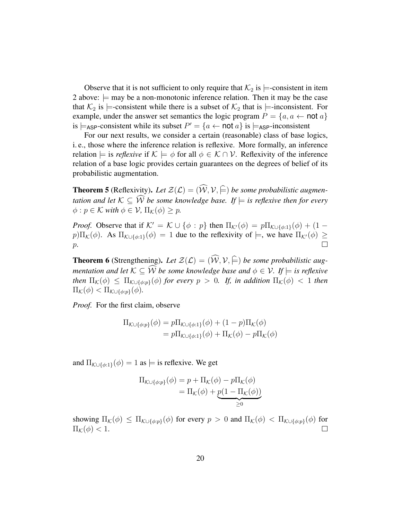Observe that it is not sufficient to only require that  $\mathcal{K}_2$  is  $\models$ -consistent in item 2 above:  $\models$  may be a non-monotonic inference relation. Then it may be the case that  $\mathcal{K}_2$  is  $\models$ -consistent while there is a subset of  $\mathcal{K}_2$  that is  $\models$ -inconsistent. For example, under the answer set semantics the logic program  $P = \{a, a \leftarrow \text{not } a\}$ is  $\models$ <sub>ASP</sub>-consistent while its subset  $P' = \{a \leftarrow \text{not } a\}$  is  $\models$ <sub>ASP</sub>-inconsistent

For our next results, we consider a certain (reasonable) class of base logics, i. e., those where the inference relation is reflexive. More formally, an inference relation  $\models$  is *reflexive* if  $K \models \phi$  for all  $\phi \in \mathcal{K} \cap \mathcal{V}$ . Reflexivity of the inference relation of a base logic provides certain guarantees on the degrees of belief of its probabilistic augmentation.

**Theorem 5** (Reflexivity). Let  $\mathcal{Z}(\mathcal{L}) = (\widehat{\mathcal{W}}, \mathcal{V}, \widehat{\models})$  be some probabilistic augmen*tation and let*  $K \subseteq \widehat{W}$  *be some knowledge base. If*  $\models$  *is reflexive then for every*  $\phi: p \in \mathcal{K}$  *with*  $\phi \in \mathcal{V}$ ,  $\Pi_{\mathcal{K}}(\phi) \geq p$ .

*Proof.* Observe that if  $K' = K \cup \{\phi : p\}$  then  $\Pi_{K'}(\phi) = p \Pi_{K \cup \{\phi : 1\}}(\phi) + (1 - \phi) \Pi_{K}(\phi)$  $p$ ) $\Pi_K(\phi)$ . As  $\Pi_{K\cup\{\phi,1\}}(\phi) = 1$  due to the reflexivity of  $\models$ , we have  $\Pi_{K}(\phi) \ge$  $p$ .

**Theorem 6** (Strengthening). Let  $\mathcal{Z}(\mathcal{L}) = (\widehat{\mathcal{W}}, \mathcal{V}, \widehat{\models})$  be some probabilistic aug*mentation and let*  $K \subseteq \widehat{W}$  *be some knowledge base and*  $\phi \in V$ *. If*  $\models$  *is reflexive then*  $\Pi_{\mathcal{K}}(\phi) \leq \Pi_{\mathcal{K}\cup{\phi:p}}(\phi)$  *for every*  $p > 0$ *. If, in addition*  $\Pi_{\mathcal{K}}(\phi) < 1$  *then*  $\Pi_{\mathcal{K}}(\phi) < \Pi_{\mathcal{K}\cup\{\phi:p\}}(\phi).$ 

*Proof.* For the first claim, observe

$$
\Pi_{\mathcal{K}\cup\{\phi:p\}}(\phi) = p\Pi_{\mathcal{K}\cup\{\phi:1\}}(\phi) + (1-p)\Pi_{\mathcal{K}}(\phi)
$$
  
=  $p\Pi_{\mathcal{K}\cup\{\phi:1\}}(\phi) + \Pi_{\mathcal{K}}(\phi) - p\Pi_{\mathcal{K}}(\phi)$ 

and  $\Pi_{\mathcal{K}\cup{\{\phi:1\}}}(\phi) = 1$  as  $\models$  is reflexive. We get

$$
\Pi_{\mathcal{K}\cup\{\phi:p\}}(\phi) = p + \Pi_{\mathcal{K}}(\phi) - p\Pi_{\mathcal{K}}(\phi)
$$

$$
= \Pi_{\mathcal{K}}(\phi) + \underbrace{p(1 - \Pi_{\mathcal{K}}(\phi))}_{\geq 0}
$$

showing  $\Pi_{\mathcal{K}}(\phi) \leq \Pi_{\mathcal{K} \cup \{\phi: p\}}(\phi)$  for every  $p > 0$  and  $\Pi_{\mathcal{K}}(\phi) < \Pi_{\mathcal{K} \cup \{\phi: p\}}(\phi)$  for  $\Pi_{\mathcal{K}}(\phi) < 1.$  $\Box$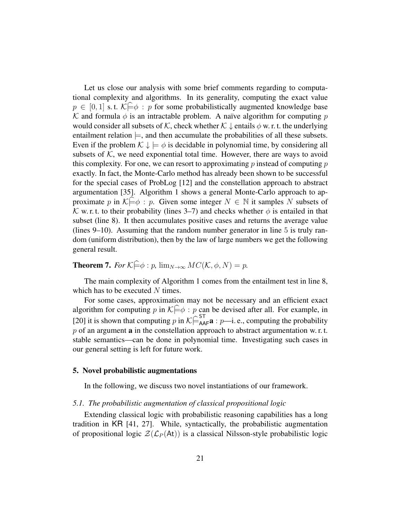Let us close our analysis with some brief comments regarding to computational complexity and algorithms. In its generality, computing the exact value  $p \in [0, 1]$  s.t.  $\mathcal{K} \models \phi : p$  for some probabilistically augmented knowledge base K and formula  $\phi$  is an intractable problem. A naïve algorithm for computing p would consider all subsets of K, check whether  $K \downarrow$  entails  $\phi$  w. r. t. the underlying entailment relation  $\models$ , and then accumulate the probabilities of all these subsets. Even if the problem  $\mathcal{K} \downarrow \models \phi$  is decidable in polynomial time, by considering all subsets of  $K$ , we need exponential total time. However, there are ways to avoid this complexity. For one, we can resort to approximating  $p$  instead of computing  $p$ exactly. In fact, the Monte-Carlo method has already been shown to be successful for the special cases of ProbLog [12] and the constellation approach to abstract argumentation [35]. Algorithm 1 shows a general Monte-Carlo approach to approximate p in  $\mathcal{K} \models \phi : p$ . Given some integer  $N \in \mathbb{N}$  it samples N subsets of K w. r. t. to their probability (lines 3–7) and checks whether  $\phi$  is entailed in that subset (line 8). It then accumulates positive cases and returns the average value (lines 9–10). Assuming that the random number generator in line 5 is truly random (uniform distribution), then by the law of large numbers we get the following general result.

**Theorem 7.** *For*  $K \in \phi : p$ ,  $\lim_{N \to \infty} MC(K, \phi, N) = p$ .

The main complexity of Algorithm 1 comes from the entailment test in line 8, which has to be executed  $N$  times.

For some cases, approximation may not be necessary and an efficient exact algorithm for computing p in  $K\models \phi : p$  can be devised after all. For example, in [20] it is shown that computing p in  $K \bigcap_{A}^{ST} a : p \longrightarrow i$ . e., computing the probability  $p$  of an argument **a** in the constellation approach to abstract argumentation w. r. t. stable semantics—can be done in polynomial time. Investigating such cases in our general setting is left for future work.

#### 5. Novel probabilistic augmentations

In the following, we discuss two novel instantiations of our framework.

#### *5.1. The probabilistic augmentation of classical propositional logic*

Extending classical logic with probabilistic reasoning capabilities has a long tradition in KR [41, 27]. While, syntactically, the probabilistic augmentation of propositional logic  $\mathcal{Z}(\mathcal{L}_P(\mathsf{At}))$  is a classical Nilsson-style probabilistic logic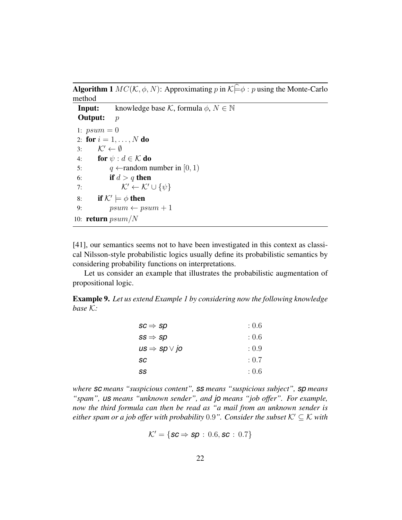**Algorithm 1**  $MC(K, \phi, N)$ : Approximating p in  $K \stackrel{\frown}{\models} \phi : p$  using the Monte-Carlo method

**Input:** knowledge base K, formula  $\phi$ ,  $N \in \mathbb{N}$ **Output:**  $p$ 1:  $psum = 0$ 2: for  $i = 1, ..., N$  do 3:  $\mathcal{K}' \leftarrow \emptyset$ 4: **for**  $\psi : d \in \mathcal{K}$  **do** 5:  $q \leftarrow$  random number in [0, 1) 6: if  $d > q$  then 7:  $\mathcal{K}' \leftarrow \mathcal{K}' \cup \{\psi\}$ 8: if  $K' \models \phi$  then 9:  $psum \leftarrow psum + 1$ 10: **return**  $psum/N$ 

[41], our semantics seems not to have been investigated in this context as classical Nilsson-style probabilistic logics usually define its probabilistic semantics by considering probability functions on interpretations.

Let us consider an example that illustrates the probabilistic augmentation of propositional logic.

Example 9. *Let us extend Example 1 by considering now the following knowledge base* K*:*

| $\mathit{sc} \Rightarrow \mathit{sp}$                  | : 0.6 |
|--------------------------------------------------------|-------|
| $ss \Rightarrow sp$                                    | :0.6  |
| $\mathit{us} \Rightarrow \mathit{sp} \vee \mathit{jo}$ | : 0.9 |
| sc                                                     | : 0.7 |
| SS                                                     | :0.6  |

*where sc means "suspicious content", ss means "suspicious subject", sp means "spam", us means "unknown sender", and jo means "job offer". For example, now the third formula can then be read as "a mail from an unknown sender is either spam or a job offer with probability* 0.9". *Consider the subset*  $K' \subset K$  *with* 

$$
\mathcal{K}' = \{ \textit{sc} \Rightarrow \textit{sp} \, : \, 0.6, \textit{sc} \, : \, 0.7 \}
$$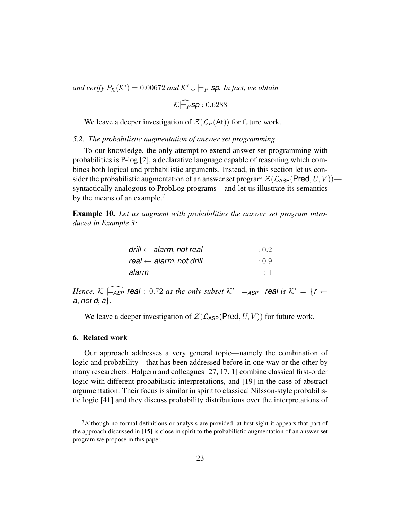and verify  $P_{\mathcal{K}}(\mathcal{K}') = 0.00672$  and  $\mathcal{K}' \downarrow \models_P$  **sp**. In fact, we obtain

 $\mathcal{K}$ F<sub>P</sub>**sp**: 0.6288

We leave a deeper investigation of  $\mathcal{Z}(\mathcal{L}_P(\mathsf{At}))$  for future work.

#### *5.2. The probabilistic augmentation of answer set programming*

To our knowledge, the only attempt to extend answer set programming with probabilities is P-log [2], a declarative language capable of reasoning which combines both logical and probabilistic arguments. Instead, in this section let us consider the probabilistic augmentation of an answer set program  $\mathcal{Z}(\mathcal{L}_{\mathsf{ASP}}(\mathsf{Pred}, U, V))$  syntactically analogous to ProbLog programs—and let us illustrate its semantics by the means of an example.<sup>7</sup>

Example 10. *Let us augment with probabilities the answer set program introduced in Example 3:*

| drill $\leftarrow$ alarm, not real | : 0.2   |
|------------------------------------|---------|
| real $\leftarrow$ alarm, not drill | : 0.9   |
| alarm                              | $\pm 1$ |

*Hence,*  $K \subseteq_{\textsf{ASP}} \textsf{real}$ : 0.72 *as the only subset*  $K' \models_{\textsf{ASP}} \textsf{real}$  *is*  $K' = \{r \leftarrow$ *a*, *not d*; *a*}*.*

We leave a deeper investigation of  $\mathcal{Z}(\mathcal{L}_{\text{ASP}}(\text{Pred}, U, V))$  for future work.

## 6. Related work

Our approach addresses a very general topic—namely the combination of logic and probability—that has been addressed before in one way or the other by many researchers. Halpern and colleagues [27, 17, 1] combine classical first-order logic with different probabilistic interpretations, and [19] in the case of abstract argumentation. Their focus is similar in spirit to classical Nilsson-style probabilistic logic [41] and they discuss probability distributions over the interpretations of

<sup>&</sup>lt;sup>7</sup>Although no formal definitions or analysis are provided, at first sight it appears that part of the approach discussed in [15] is close in spirit to the probabilistic augmentation of an answer set program we propose in this paper.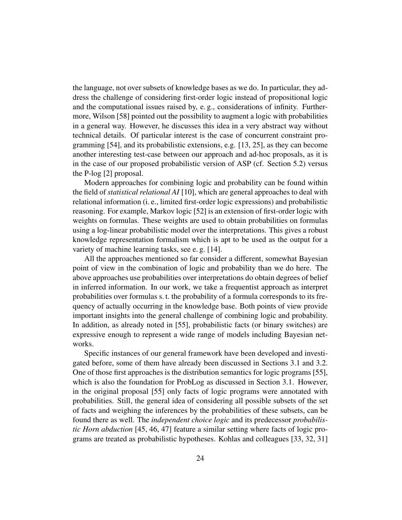the language, not over subsets of knowledge bases as we do. In particular, they address the challenge of considering first-order logic instead of propositional logic and the computational issues raised by, e. g., considerations of infinity. Furthermore, Wilson [58] pointed out the possibility to augment a logic with probabilities in a general way. However, he discusses this idea in a very abstract way without technical details. Of particular interest is the case of concurrent constraint programming [54], and its probabilistic extensions, e.g. [13, 25], as they can become another interesting test-case between our approach and ad-hoc proposals, as it is in the case of our proposed probabilistic version of ASP (cf. Section 5.2) versus the P-log [2] proposal.

Modern approaches for combining logic and probability can be found within the field of *statistical relational AI* [10], which are general approaches to deal with relational information (i. e., limited first-order logic expressions) and probabilistic reasoning. For example, Markov logic [52] is an extension of first-order logic with weights on formulas. These weights are used to obtain probabilities on formulas using a log-linear probabilistic model over the interpretations. This gives a robust knowledge representation formalism which is apt to be used as the output for a variety of machine learning tasks, see e. g. [14].

All the approaches mentioned so far consider a different, somewhat Bayesian point of view in the combination of logic and probability than we do here. The above approaches use probabilities over interpretations do obtain degrees of belief in inferred information. In our work, we take a frequentist approach as interpret probabilities over formulas s. t. the probability of a formula corresponds to its frequency of actually occurring in the knowledge base. Both points of view provide important insights into the general challenge of combining logic and probability. In addition, as already noted in [55], probabilistic facts (or binary switches) are expressive enough to represent a wide range of models including Bayesian networks.

Specific instances of our general framework have been developed and investigated before, some of them have already been discussed in Sections 3.1 and 3.2. One of those first approaches is the distribution semantics for logic programs [55], which is also the foundation for ProbLog as discussed in Section 3.1. However, in the original proposal [55] only facts of logic programs were annotated with probabilities. Still, the general idea of considering all possible subsets of the set of facts and weighing the inferences by the probabilities of these subsets, can be found there as well. The *independent choice logic* and its predecessor *probabilistic Horn abduction* [45, 46, 47] feature a similar setting where facts of logic programs are treated as probabilistic hypotheses. Kohlas and colleagues [33, 32, 31]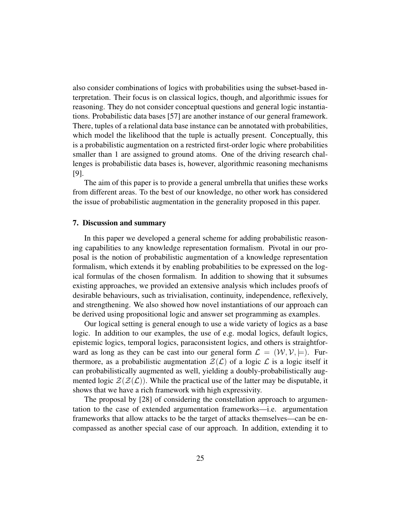also consider combinations of logics with probabilities using the subset-based interpretation. Their focus is on classical logics, though, and algorithmic issues for reasoning. They do not consider conceptual questions and general logic instantiations. Probabilistic data bases [57] are another instance of our general framework. There, tuples of a relational data base instance can be annotated with probabilities, which model the likelihood that the tuple is actually present. Conceptually, this is a probabilistic augmentation on a restricted first-order logic where probabilities smaller than 1 are assigned to ground atoms. One of the driving research challenges is probabilistic data bases is, however, algorithmic reasoning mechanisms [9].

The aim of this paper is to provide a general umbrella that unifies these works from different areas. To the best of our knowledge, no other work has considered the issue of probabilistic augmentation in the generality proposed in this paper.

#### 7. Discussion and summary

In this paper we developed a general scheme for adding probabilistic reasoning capabilities to any knowledge representation formalism. Pivotal in our proposal is the notion of probabilistic augmentation of a knowledge representation formalism, which extends it by enabling probabilities to be expressed on the logical formulas of the chosen formalism. In addition to showing that it subsumes existing approaches, we provided an extensive analysis which includes proofs of desirable behaviours, such as trivialisation, continuity, independence, reflexively, and strengthening. We also showed how novel instantiations of our approach can be derived using propositional logic and answer set programming as examples.

Our logical setting is general enough to use a wide variety of logics as a base logic. In addition to our examples, the use of e.g. modal logics, default logics, epistemic logics, temporal logics, paraconsistent logics, and others is straightforward as long as they can be cast into our general form  $\mathcal{L} = (\mathcal{W}, \mathcal{V}, \models)$ . Furthermore, as a probabilistic augmentation  $\mathcal{Z}(\mathcal{L})$  of a logic  $\mathcal{L}$  is a logic itself it can probabilistically augmented as well, yielding a doubly-probabilistically augmented logic  $\mathcal{Z}(\mathcal{Z}(\mathcal{L}))$ . While the practical use of the latter may be disputable, it shows that we have a rich framework with high expressivity.

The proposal by [28] of considering the constellation approach to argumentation to the case of extended argumentation frameworks—i.e. argumentation frameworks that allow attacks to be the target of attacks themselves—can be encompassed as another special case of our approach. In addition, extending it to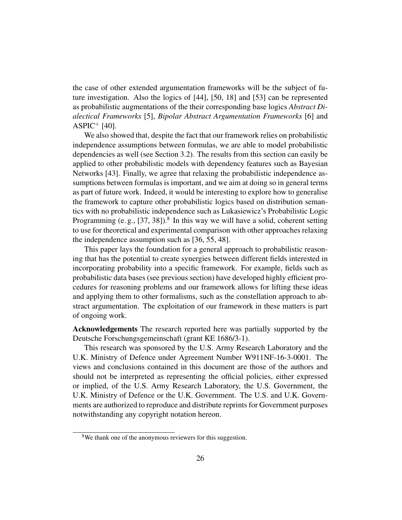the case of other extended argumentation frameworks will be the subject of future investigation. Also the logics of [44], [50, 18] and [53] can be represented as probabilistic augmentations of the their corresponding base logics *Abstract Dialectical Frameworks* [5], *Bipolar Abstract Argumentation Frameworks* [6] and  $ASPIC^+$  [40].

We also showed that, despite the fact that our framework relies on probabilistic independence assumptions between formulas, we are able to model probabilistic dependencies as well (see Section 3.2). The results from this section can easily be applied to other probabilistic models with dependency features such as Bayesian Networks [43]. Finally, we agree that relaxing the probabilistic independence assumptions between formulas is important, and we aim at doing so in general terms as part of future work. Indeed, it would be interesting to explore how to generalise the framework to capture other probabilistic logics based on distribution semantics with no probabilistic independence such as Lukasiewicz's Probabilistic Logic Programming (e.g.,  $[37, 38]$ ).<sup>8</sup> In this way we will have a solid, coherent setting to use for theoretical and experimental comparison with other approaches relaxing the independence assumption such as [36, 55, 48].

This paper lays the foundation for a general approach to probabilistic reasoning that has the potential to create synergies between different fields interested in incorporating probability into a specific framework. For example, fields such as probabilistic data bases (see previous section) have developed highly efficient procedures for reasoning problems and our framework allows for lifting these ideas and applying them to other formalisms, such as the constellation approach to abstract argumentation. The exploitation of our framework in these matters is part of ongoing work.

Acknowledgements The research reported here was partially supported by the Deutsche Forschungsgemeinschaft (grant KE 1686/3-1).

This research was sponsored by the U.S. Army Research Laboratory and the U.K. Ministry of Defence under Agreement Number W911NF-16-3-0001. The views and conclusions contained in this document are those of the authors and should not be interpreted as representing the official policies, either expressed or implied, of the U.S. Army Research Laboratory, the U.S. Government, the U.K. Ministry of Defence or the U.K. Government. The U.S. and U.K. Governments are authorized to reproduce and distribute reprints for Government purposes notwithstanding any copyright notation hereon.

<sup>&</sup>lt;sup>8</sup>We thank one of the anonymous reviewers for this suggestion.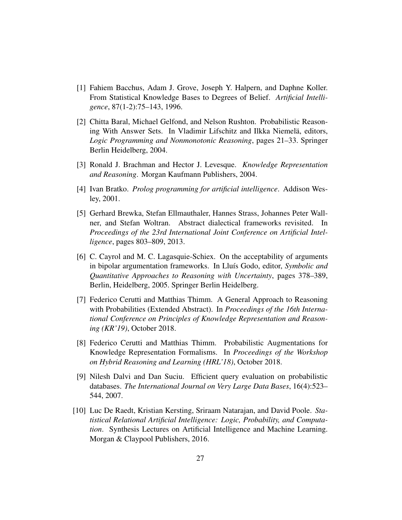- [1] Fahiem Bacchus, Adam J. Grove, Joseph Y. Halpern, and Daphne Koller. From Statistical Knowledge Bases to Degrees of Belief. *Artificial Intelligence*, 87(1-2):75–143, 1996.
- [2] Chitta Baral, Michael Gelfond, and Nelson Rushton. Probabilistic Reasoning With Answer Sets. In Vladimir Lifschitz and Ilkka Niemelä, editors, *Logic Programming and Nonmonotonic Reasoning*, pages 21–33. Springer Berlin Heidelberg, 2004.
- [3] Ronald J. Brachman and Hector J. Levesque. *Knowledge Representation and Reasoning*. Morgan Kaufmann Publishers, 2004.
- [4] Ivan Bratko. *Prolog programming for artificial intelligence*. Addison Wesley, 2001.
- [5] Gerhard Brewka, Stefan Ellmauthaler, Hannes Strass, Johannes Peter Wallner, and Stefan Woltran. Abstract dialectical frameworks revisited. In *Proceedings of the 23rd International Joint Conference on Artificial Intelligence*, pages 803–809, 2013.
- [6] C. Cayrol and M. C. Lagasquie-Schiex. On the acceptability of arguments in bipolar argumentation frameworks. In Lluís Godo, editor, *Symbolic and Quantitative Approaches to Reasoning with Uncertainty*, pages 378–389, Berlin, Heidelberg, 2005. Springer Berlin Heidelberg.
- [7] Federico Cerutti and Matthias Thimm. A General Approach to Reasoning with Probabilities (Extended Abstract). In *Proceedings of the 16th International Conference on Principles of Knowledge Representation and Reasoning (KR'19)*, October 2018.
- [8] Federico Cerutti and Matthias Thimm. Probabilistic Augmentations for Knowledge Representation Formalisms. In *Proceedings of the Workshop on Hybrid Reasoning and Learning (HRL'18)*, October 2018.
- [9] Nilesh Dalvi and Dan Suciu. Efficient query evaluation on probabilistic databases. *The International Journal on Very Large Data Bases*, 16(4):523– 544, 2007.
- [10] Luc De Raedt, Kristian Kersting, Sriraam Natarajan, and David Poole. *Statistical Relational Artificial Intelligence: Logic, Probability, and Computation*. Synthesis Lectures on Artificial Intelligence and Machine Learning. Morgan & Claypool Publishers, 2016.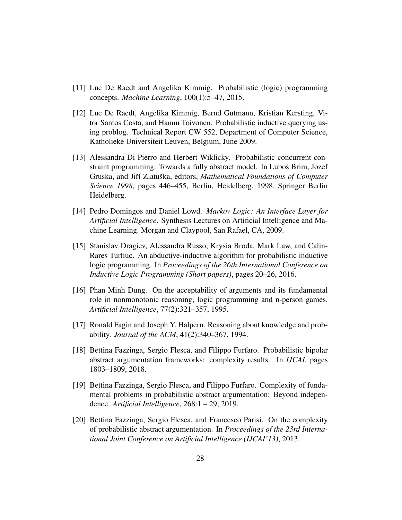- [11] Luc De Raedt and Angelika Kimmig. Probabilistic (logic) programming concepts. *Machine Learning*, 100(1):5–47, 2015.
- [12] Luc De Raedt, Angelika Kimmig, Bernd Gutmann, Kristian Kersting, Vitor Santos Costa, and Hannu Toivonen. Probabilistic inductive querying using problog. Technical Report CW 552, Department of Computer Science, Katholieke Universiteit Leuven, Belgium, June 2009.
- [13] Alessandra Di Pierro and Herbert Wiklicky. Probabilistic concurrent constraint programming: Towards a fully abstract model. In Luboš Brim, Jozef Gruska, and Jiří Zlatuška, editors, Mathematical Foundations of Computer *Science 1998*, pages 446–455, Berlin, Heidelberg, 1998. Springer Berlin Heidelberg.
- [14] Pedro Domingos and Daniel Lowd. *Markov Logic: An Interface Layer for Artificial Intelligence*. Synthesis Lectures on Artificial Intelligence and Machine Learning. Morgan and Claypool, San Rafael, CA, 2009.
- [15] Stanislav Dragiev, Alessandra Russo, Krysia Broda, Mark Law, and Calin-Rares Turliuc. An abductive-inductive algorithm for probabilistic inductive logic programming. In *Proceedings of the 26th International Conference on Inductive Logic Programming (Short papers)*, pages 20–26, 2016.
- [16] Phan Minh Dung. On the acceptability of arguments and its fundamental role in nonmonotonic reasoning, logic programming and n-person games. *Artificial Intelligence*, 77(2):321–357, 1995.
- [17] Ronald Fagin and Joseph Y. Halpern. Reasoning about knowledge and probability. *Journal of the ACM*, 41(2):340–367, 1994.
- [18] Bettina Fazzinga, Sergio Flesca, and Filippo Furfaro. Probabilistic bipolar abstract argumentation frameworks: complexity results. In *IJCAI*, pages 1803–1809, 2018.
- [19] Bettina Fazzinga, Sergio Flesca, and Filippo Furfaro. Complexity of fundamental problems in probabilistic abstract argumentation: Beyond independence. *Artificial Intelligence*, 268:1 – 29, 2019.
- [20] Bettina Fazzinga, Sergio Flesca, and Francesco Parisi. On the complexity of probabilistic abstract argumentation. In *Proceedings of the 23rd International Joint Conference on Artificial Intelligence (IJCAI'13)*, 2013.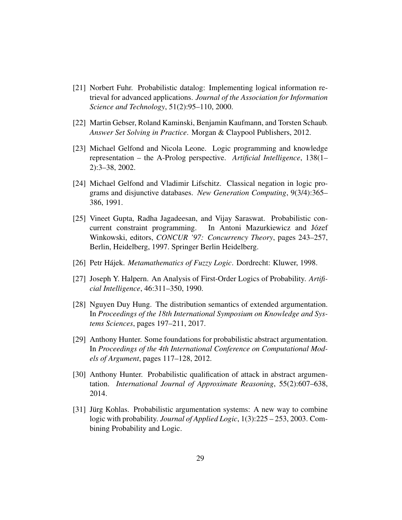- [21] Norbert Fuhr. Probabilistic datalog: Implementing logical information retrieval for advanced applications. *Journal of the Association for Information Science and Technology*, 51(2):95–110, 2000.
- [22] Martin Gebser, Roland Kaminski, Benjamin Kaufmann, and Torsten Schaub. *Answer Set Solving in Practice*. Morgan & Claypool Publishers, 2012.
- [23] Michael Gelfond and Nicola Leone. Logic programming and knowledge representation – the A-Prolog perspective. *Artificial Intelligence*, 138(1– 2):3–38, 2002.
- [24] Michael Gelfond and Vladimir Lifschitz. Classical negation in logic programs and disjunctive databases. *New Generation Computing*, 9(3/4):365– 386, 1991.
- [25] Vineet Gupta, Radha Jagadeesan, and Vijay Saraswat. Probabilistic concurrent constraint programming. In Antoni Mazurkiewicz and Józef Winkowski, editors, *CONCUR '97: Concurrency Theory*, pages 243–257, Berlin, Heidelberg, 1997. Springer Berlin Heidelberg.
- [26] Petr Hájek. *Metamathematics of Fuzzy Logic*. Dordrecht: Kluwer, 1998.
- [27] Joseph Y. Halpern. An Analysis of First-Order Logics of Probability. *Artificial Intelligence*, 46:311–350, 1990.
- [28] Nguyen Duy Hung. The distribution semantics of extended argumentation. In *Proceedings of the 18th International Symposium on Knowledge and Systems Sciences*, pages 197–211, 2017.
- [29] Anthony Hunter. Some foundations for probabilistic abstract argumentation. In *Proceedings of the 4th International Conference on Computational Models of Argument*, pages 117–128, 2012.
- [30] Anthony Hunter. Probabilistic qualification of attack in abstract argumentation. *International Journal of Approximate Reasoning*, 55(2):607–638, 2014.
- [31] Jürg Kohlas. Probabilistic argumentation systems: A new way to combine logic with probability. *Journal of Applied Logic*, 1(3):225 – 253, 2003. Combining Probability and Logic.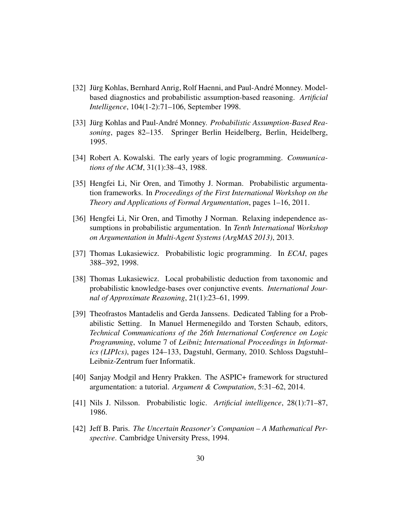- [32] Jürg Kohlas, Bernhard Anrig, Rolf Haenni, and Paul-André Monney. Modelbased diagnostics and probabilistic assumption-based reasoning. *Artificial Intelligence*, 104(1-2):71–106, September 1998.
- [33] Jürg Kohlas and Paul-André Monney. *Probabilistic Assumption-Based Reasoning*, pages 82–135. Springer Berlin Heidelberg, Berlin, Heidelberg, 1995.
- [34] Robert A. Kowalski. The early years of logic programming. *Communications of the ACM*, 31(1):38–43, 1988.
- [35] Hengfei Li, Nir Oren, and Timothy J. Norman. Probabilistic argumentation frameworks. In *Proceedings of the First International Workshop on the Theory and Applications of Formal Argumentation*, pages 1–16, 2011.
- [36] Hengfei Li, Nir Oren, and Timothy J Norman. Relaxing independence assumptions in probabilistic argumentation. In *Tenth International Workshop on Argumentation in Multi-Agent Systems (ArgMAS 2013)*, 2013.
- [37] Thomas Lukasiewicz. Probabilistic logic programming. In *ECAI*, pages 388–392, 1998.
- [38] Thomas Lukasiewicz. Local probabilistic deduction from taxonomic and probabilistic knowledge-bases over conjunctive events. *International Journal of Approximate Reasoning*, 21(1):23–61, 1999.
- [39] Theofrastos Mantadelis and Gerda Janssens. Dedicated Tabling for a Probabilistic Setting. In Manuel Hermenegildo and Torsten Schaub, editors, *Technical Communications of the 26th International Conference on Logic Programming*, volume 7 of *Leibniz International Proceedings in Informatics (LIPIcs)*, pages 124–133, Dagstuhl, Germany, 2010. Schloss Dagstuhl– Leibniz-Zentrum fuer Informatik.
- [40] Sanjay Modgil and Henry Prakken. The ASPIC+ framework for structured argumentation: a tutorial. *Argument & Computation*, 5:31–62, 2014.
- [41] Nils J. Nilsson. Probabilistic logic. *Artificial intelligence*, 28(1):71–87, 1986.
- [42] Jeff B. Paris. *The Uncertain Reasoner's Companion A Mathematical Perspective*. Cambridge University Press, 1994.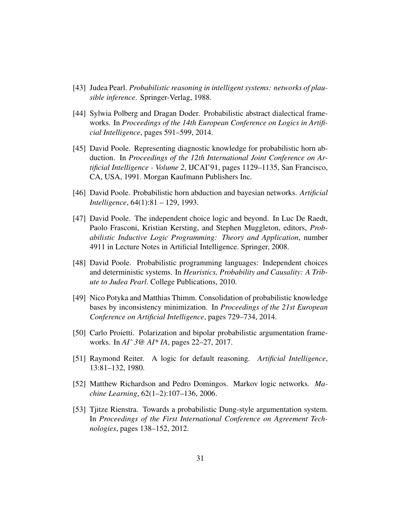- [43] Judea Pearl. *Probabilistic reasoning in intelligent systems: networks of plausible inference*. Springer-Verlag, 1988.
- [44] Sylwia Polberg and Dragan Doder. Probabilistic abstract dialectical frameworks. In *Proceedings of the 14th European Conference on Logics in Artificial Intelligence*, pages 591–599, 2014.
- [45] David Poole. Representing diagnostic knowledge for probabilistic horn abduction. In *Proceedings of the 12th International Joint Conference on Artificial Intelligence - Volume 2*, IJCAI'91, pages 1129–1135, San Francisco, CA, USA, 1991. Morgan Kaufmann Publishers Inc.
- [46] David Poole. Probabilistic horn abduction and bayesian networks. *Artificial Intelligence*, 64(1):81 – 129, 1993.
- [47] David Poole. The independent choice logic and beyond. In Luc De Raedt, Paolo Frasconi, Kristian Kersting, and Stephen Muggleton, editors, *Probabilistic Inductive Logic Programming: Theory and Application*, number 4911 in Lecture Notes in Artificial Intelligence. Springer, 2008.
- [48] David Poole. Probabilistic programming languages: Independent choices and deterministic systems. In *Heuristics, Probability and Causality: A Tribute to Judea Pearl*. College Publications, 2010.
- [49] Nico Potyka and Matthias Thimm. Consolidation of probabilistic knowledge bases by inconsistency minimization. In *Proceedings of the 21st European Conference on Artificial Intelligence*, pages 729–734, 2014.
- [50] Carlo Proietti. Polarization and bipolar probabilistic argumentation frameworks. In *AIˆ 3@ AI\* IA*, pages 22–27, 2017.
- [51] Raymond Reiter. A logic for default reasoning. *Artificial Intelligence*, 13:81–132, 1980.
- [52] Matthew Richardson and Pedro Domingos. Markov logic networks. *Machine Learning*, 62(1–2):107–136, 2006.
- [53] Tjitze Rienstra. Towards a probabilistic Dung-style argumentation system. In *Proceedings of the First International Conference on Agreement Technologies*, pages 138–152, 2012.